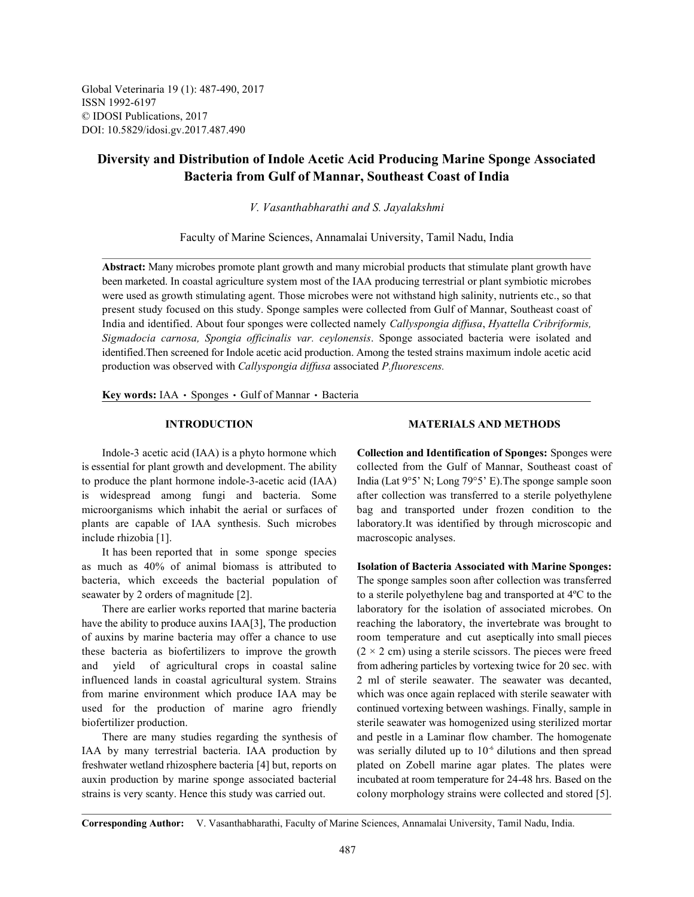Global Veterinaria 19 (1): 487-490, 2017 ISSN 1992-6197 © IDOSI Publications, 2017 DOI: 10.5829/idosi.gv.2017.487.490

# **Diversity and Distribution of Indole Acetic Acid Producing Marine Sponge Associated Bacteria from Gulf of Mannar, Southeast Coast of India**

*V. Vasanthabharathi and S. Jayalakshmi*

Faculty of Marine Sciences, Annamalai University, Tamil Nadu, India

**Abstract:** Many microbes promote plant growth and many microbial products that stimulate plant growth have been marketed. In coastal agriculture system most of the IAA producing terrestrial or plant symbiotic microbes were used as growth stimulating agent. Those microbes were not withstand high salinity, nutrients etc., so that present study focused on this study. Sponge samples were collected from Gulf of Mannar, Southeast coast of India and identified. About four sponges were collected namely *Callyspongia diffusa*, *Hyattella Cribriformis, Sigmadocia carnosa, Spongia officinalis var. ceylonensis*. Sponge associated bacteria were isolated and identified.Then screened for Indole acetic acid production. Among the tested strains maximum indole acetic acid production was observed with *Callyspongia diffusa* associated *P.fluorescens.*

Key words: IAA · Sponges · Gulf of Mannar · Bacteria

to produce the plant hormone indole-3-acetic acid (IAA) India (Lat  $9^{\circ}5'$  N; Long  $79^{\circ}5'$  E). The sponge sample soon is widespread among fungi and bacteria. Some after collection was transferred to a sterile polyethylene microorganisms which inhabit the aerial or surfaces of bag and transported under frozen condition to the plants are capable of IAA synthesis. Such microbes laboratory.It was identified by through microscopic and include rhizobia [1]. macroscopic analyses.

It has been reported that in some sponge species as much as 40% of animal biomass is attributed to **Isolation of Bacteria Associated with Marine Sponges:** bacteria, which exceeds the bacterial population of The sponge samples soon after collection was transferred seawater by 2 orders of magnitude [2]. to a sterile polyethylene bag and transported at 4<sup>o</sup>C to the

have the ability to produce auxins IAA[3], The production reaching the laboratory, the invertebrate was brought to of auxins by marine bacteria may offer a chance to use room temperature and cut aseptically into small pieces these bacteria as biofertilizers to improve the growth  $(2 \times 2 \text{ cm})$  using a sterile scissors. The pieces were freed and yield of agricultural crops in coastal saline from adhering particles by vortexing twice for 20 sec. with influenced lands in coastal agricultural system. Strains 2 ml of sterile seawater. The seawater was decanted, from marine environment which produce IAA may be which was once again replaced with sterile seawater with used for the production of marine agro friendly continued vortexing between washings. Finally, sample in biofertilizer production. sterile seawater was homogenized using sterilized mortar

IAA by many terrestrial bacteria. IAA production by freshwater wetland rhizosphere bacteria [4] but, reports on plated on Zobell marine agar plates. The plates were auxin production by marine sponge associated bacterial incubated at room temperature for 24-48 hrs. Based on the strains is very scanty. Hence this study was carried out. colony morphology strains were collected and stored [5].

### **INTRODUCTION MATERIALS AND METHODS**

Indole-3 acetic acid (IAA) is a phyto hormone which **Collection and Identification of Sponges:** Sponges were is essential for plant growth and development. The ability collected from the Gulf of Mannar, Southeast coast of

There are earlier works reported that marine bacteria laboratory for the isolation of associated microbes. On There are many studies regarding the synthesis of and pestle in a Laminar flow chamber. The homogenate was serially diluted up to  $10^{-6}$  dilutions and then spread

**Corresponding Author:** V. Vasanthabharathi, Faculty of Marine Sciences, Annamalai University, Tamil Nadu, India.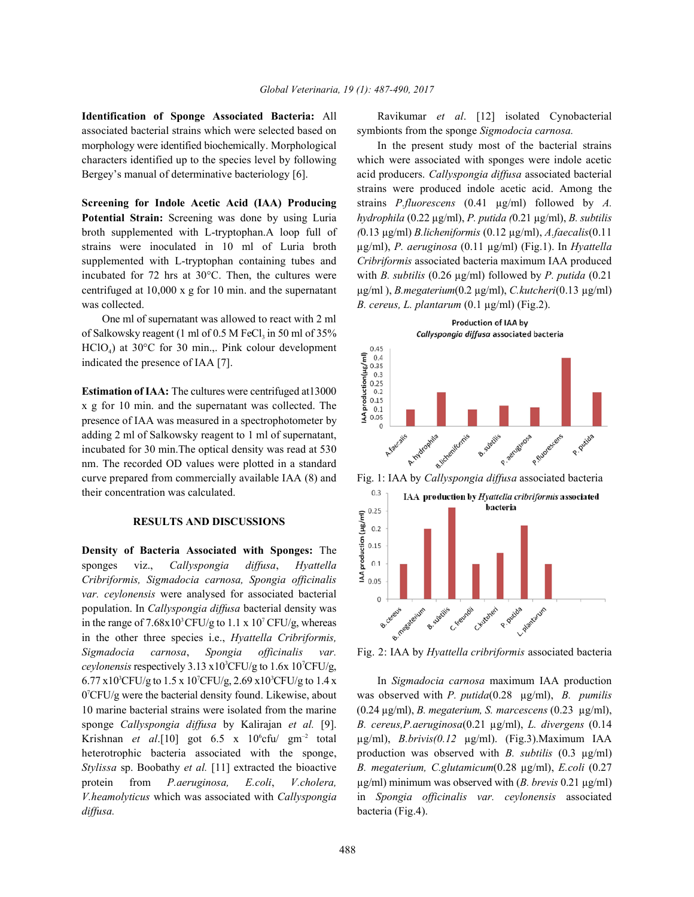associated bacterial strains which were selected based on symbionts from the sponge *Sigmodocia carnosa.*  morphology were identified biochemically. Morphological In the present study most of the bacterial strains characters identified up to the species level by following which were associated with sponges were indole acetic Bergey's manual of determinative bacteriology [6]. acid producers. *Callyspongia diffusa* associated bacterial

**Potential Strain:** Screening was done by using Luria *hydrophila* (0.22 µg/ml), *P. putida (*0.21 µg/ml), *B. subtilis* broth supplemented with L-tryptophan.A loop full of *(*0.13 µg/ml) *B.licheniformis* (0.12 µg/ml), *A.faecalis*(0.11 strains were inoculated in 10 ml of Luria broth µg/ml), *P. aeruginosa* (0.11 µg/ml) (Fig.1). In *Hyattella* supplemented with L-tryptophan containing tubes and *Cribriformis* associated bacteria maximum IAA produced incubated for 72 hrs at 30°C. Then, the cultures were with *B. subtilis* (0.26 µg/ml) followed by *P. putida* (0.21 centrifuged at 10,000 x g for 10 min. and the supernatant µg/ml ), *B.megaterium*(0.2 µg/ml), *C.kutcheri*(0.13 µg/ml) was collected. **B. cereus, L. plantarum (0.1 µg/ml) (Fig.2).** 

One ml of supernatant was allowed to react with 2 ml of Salkowsky reagent (1 ml of  $0.5$  M FeCl<sub>3</sub> in 50 ml of  $35\%$ )  $HCIO<sub>4</sub>$ ) at 30°C for 30 min.,. Pink colour development indicated the presence of IAA [7].

**Estimation of IAA:** The cultures were centrifuged at13000 x g for 10 min. and the supernatant was collected. The presence of IAA was measured in a spectrophotometer by adding 2 ml of Salkowsky reagent to 1 ml of supernatant, incubated for 30 min.The optical density was read at 530 nm. The recorded OD values were plotted in a standard their concentration was calculated.

#### **RESULTS AND DISCUSSIONS**

**Density of Bacteria Associated with Sponges:** The sponges viz., *Callyspongia diffusa*, *Hyattella Cribriformis, Sigmadocia carnosa, Spongia officinalis var. ceylonensis* were analysed for associated bacterial population. In *Callyspongia diffusa* bacterial density was in the range of  $7.68x10^3$ CFU/g to  $1.1 x 10^7$ CFU/g, whereas in the other three species i.e., *Hyattella Cribriformis, Sigmadocia carnosa*, *Spongia officinalis var.* Fig. 2: IAA by *Hyattella cribriformis* associated bacteria *ceylonensis* respectively  $3.13 \times 10^{3}$ CFU/g to  $1.6 \times 10^{7}$ CFU/g,  $6.77 \times 10^{3}$ CFU/g to 1.5 x 10<sup>7</sup>CFU/g, 2.69 x 10<sup>3</sup>CFU/g to 1.4 x In *Sigmadocia carnosa* maximum IAA production *diffusa.* bacteria (Fig.4).

**Identification of Sponge Associated Bacteria:** All Ravikumar *et al*. [12] isolated Cynobacterial

**Screening for Indole Acetic Acid (IAA) Producing** strains *P.fluorescens* (0.41 µg/ml) followed by *A.* strains were produced indole acetic acid. Among the



0 CFU/g were the bacterial density found. Likewise, about was observed with *P. putida*(0.28 µg/ml), *B. pumilis* <sup>7</sup> 10 marine bacterial strains were isolated from the marine (0.24 µg/ml), *B. megaterium, S. marcescens* (0.23 µg/ml), sponge *Callyspongia diffusa* by Kalirajan *et al.* [9]. *B. cereus,P.aeruginosa*(0.21 µg/ml), *L. divergens* (0.14 Krishnan *et al.*[10] got 6.5 x 10<sup>6</sup>cfu/ gm<sup>-2</sup> total  $\mu$ g/ml), *B.brivis(0.12*  $\mu$ g/ml). (Fig.3).Maximum IAA heterotrophic bacteria associated with the sponge, production was observed with *B. subtilis* (0.3 µg/ml) *Stylissa* sp. Boobathy *et al.* [11] extracted the bioactive *B. megaterium, C.glutamicum*(0.28 µg/ml), *E.coli* (0.27 protein from *P.aeruginosa, E.coli*, *V.cholera,* µg/ml) minimum was observed with (*B. brevis* 0.21 µg/ml) *V.heamolyticus* which was associated with *Callyspongia* in *Spongia officinalis var. ceylonensis* associated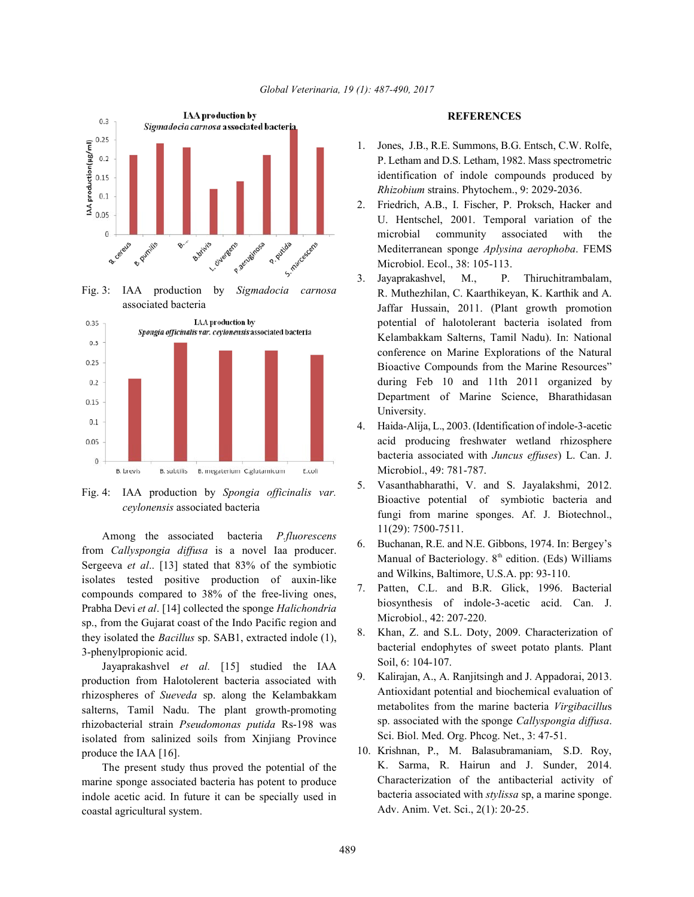

Fig. 4: IAA production by *Spongia officinalis var. ceylonensis* associated bacteria

Among the associated bacteria *P.fluorescens* from *Callyspongia diffusa* is a novel Iaa producer. Sergeeva *et al*.. [13] stated that 83% of the symbiotic isolates tested positive production of auxin-like compounds compared to 38% of the free-living ones, Prabha Devi *et al*. [14] collected the sponge *Halichondria* sp., from the Gujarat coast of the Indo Pacific region and they isolated the *Bacillus* sp. SAB1, extracted indole (1), 3-phenylpropionic acid.

Jayaprakashvel *et al.* [15] studied the IAA production from Halotolerent bacteria associated with rhizospheres of *Sueveda* sp. along the Kelambakkam salterns, Tamil Nadu. The plant growth-promoting rhizobacterial strain *Pseudomonas putida* Rs-198 was isolated from salinized soils from Xinjiang Province produce the IAA [16].

The present study thus proved the potential of the marine sponge associated bacteria has potent to produce indole acetic acid. In future it can be specially used in coastal agricultural system.

## **REFERENCES**

- 1. Jones, J.B., R.E. Summons, B.G. Entsch, C.W. Rolfe, P. Letham and D.S. Letham, 1982. Mass spectrometric identification of indole compounds produced by *Rhizobium* strains. Phytochem., 9: 2029-2036.
- 2. Friedrich, A.B., I. Fischer, P. Proksch, Hacker and U. Hentschel, 2001. Temporal variation of the microbial community associated with the Mediterranean sponge *Aplysina aerophoba*. FEMS Microbiol. Ecol., 38: 105-113.
- 3. Jayaprakashvel, M., P. Thiruchitrambalam, R. Muthezhilan, C. Kaarthikeyan, K. Karthik and A. Jaffar Hussain, 2011. (Plant growth promotion potential of halotolerant bacteria isolated from Kelambakkam Salterns, Tamil Nadu). In: National conference on Marine Explorations of the Natural Bioactive Compounds from the Marine Resources" during Feb 10 and 11th 2011 organized by Department of Marine Science, Bharathidasan University.
- 4. Haida-Alija, L., 2003. (Identification of indole-3-acetic acid producing freshwater wetland rhizosphere bacteria associated with *Juncus effuses*) L. Can. J. Microbiol., 49: 781-787.
- 5. Vasanthabharathi, V. and S. Jayalakshmi, 2012. Bioactive potential of symbiotic bacteria and fungi from marine sponges. Af. J. Biotechnol., 11(29): 7500-7511.
- 6. Buchanan, R.E. and N.E. Gibbons, 1974. In: Bergey's Manual of Bacteriology.  $8<sup>th</sup>$  edition. (Eds) Williams and Wilkins, Baltimore, U.S.A. pp: 93-110.
- 7. Patten, C.L. and B.R. Glick, 1996. Bacterial biosynthesis of indole-3-acetic acid. Can. J. Microbiol., 42: 207-220.
- 8. Khan, Z. and S.L. Doty, 2009. Characterization of bacterial endophytes of sweet potato plants. Plant Soil, 6: 104-107.
- 9. Kalirajan, A., A. Ranjitsingh and J. Appadorai, 2013. Antioxidant potential and biochemical evaluation of metabolites from the marine bacteria *Virgibacillu*s sp. associated with the sponge *Callyspongia diffusa*. Sci. Biol. Med. Org. Phcog. Net., 3: 47-51.
- 10. Krishnan, P., M. Balasubramaniam, S.D. Roy, K. Sarma, R. Hairun and J. Sunder, 2014. Characterization of the antibacterial activity of bacteria associated with *stylissa* sp, a marine sponge. Adv. Anim. Vet. Sci., 2(1): 20-25.